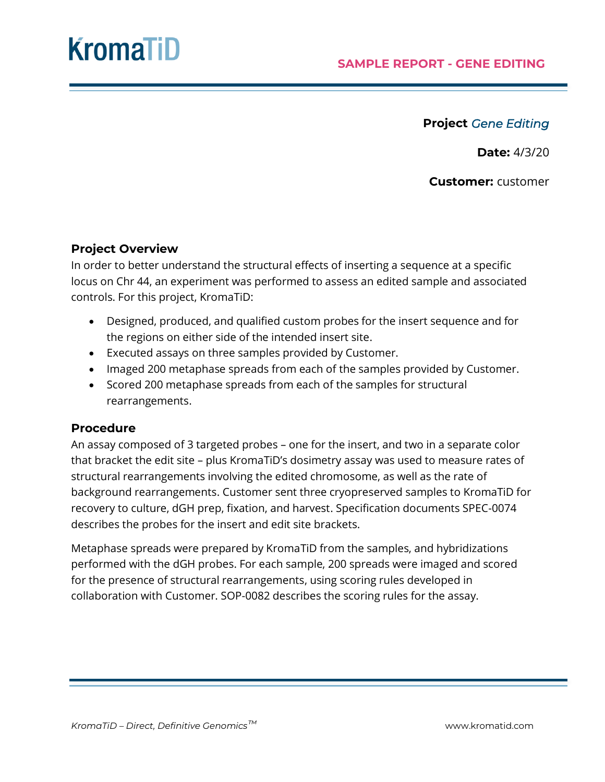### **Project** *Gene Editing*

**Date:** 4/3/20

**Customer:** customer

#### **Project Overview**

In order to better understand the structural effects of inserting a sequence at a specific locus on Chr 44, an experiment was performed to assess an edited sample and associated controls. For this project, KromaTiD:

- Designed, produced, and qualified custom probes for the insert sequence and for the regions on either side of the intended insert site.
- Executed assays on three samples provided by Customer.
- Imaged 200 metaphase spreads from each of the samples provided by Customer.
- Scored 200 metaphase spreads from each of the samples for structural rearrangements.

#### **Procedure**

An assay composed of 3 targeted probes – one for the insert, and two in a separate color that bracket the edit site – plus KromaTiD's dosimetry assay was used to measure rates of structural rearrangements involving the edited chromosome, as well as the rate of background rearrangements. Customer sent three cryopreserved samples to KromaTiD for recovery to culture, dGH prep, fixation, and harvest. Specification documents SPEC-0074 describes the probes for the insert and edit site brackets.

Metaphase spreads were prepared by KromaTiD from the samples, and hybridizations performed with the dGH probes. For each sample, 200 spreads were imaged and scored for the presence of structural rearrangements, using scoring rules developed in collaboration with Customer. SOP-0082 describes the scoring rules for the assay.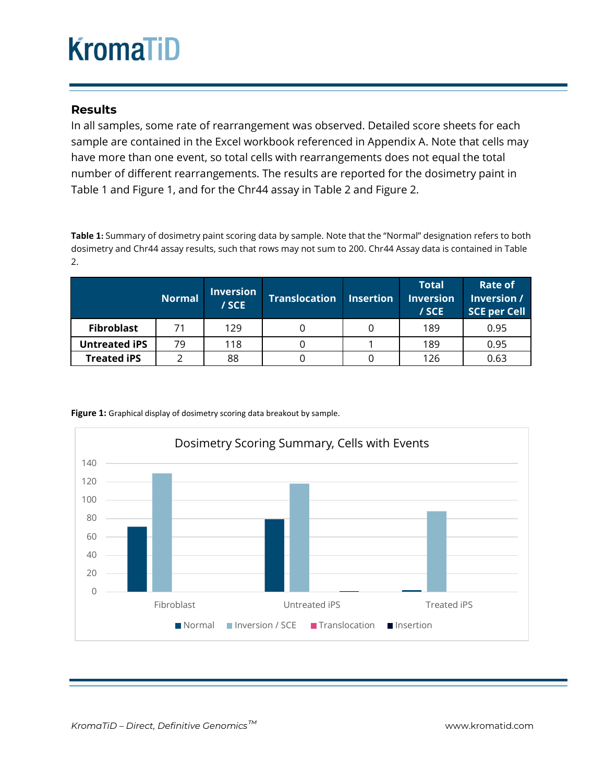#### **Results**

In all samples, some rate of rearrangement was observed. Detailed score sheets for each sample are contained in the Excel workbook referenced in Appendix A. Note that cells may have more than one event, so total cells with rearrangements does not equal the total number of different rearrangements. The results are reported for the dosimetry paint in Table 1 and Figure 1, and for the Chr44 assay in Table 2 and Figure 2.

**Table 1:** Summary of dosimetry paint scoring data by sample. Note that the "Normal" designation refers to both dosimetry and Chr44 assay results, such that rows may not sum to 200. Chr44 Assay data is contained in Table 2.

|                      | <b>Normal</b> | <b>Inversion</b><br>/ SCE | <b>Translocation</b> | <b>Insertion</b> | <b>Total</b><br><b>Inversion</b><br>/ SCE | Rate of<br>Inversion /<br><b>SCE per Cell</b> |
|----------------------|---------------|---------------------------|----------------------|------------------|-------------------------------------------|-----------------------------------------------|
| <b>Fibroblast</b>    | 71            | 129                       |                      |                  | 189                                       | 0.95                                          |
| <b>Untreated iPS</b> | 79            | 118                       |                      |                  | 189                                       | 0.95                                          |
| <b>Treated iPS</b>   |               | 88                        |                      |                  | 126                                       | 0.63                                          |



Figure 1: Graphical display of dosimetry scoring data breakout by sample.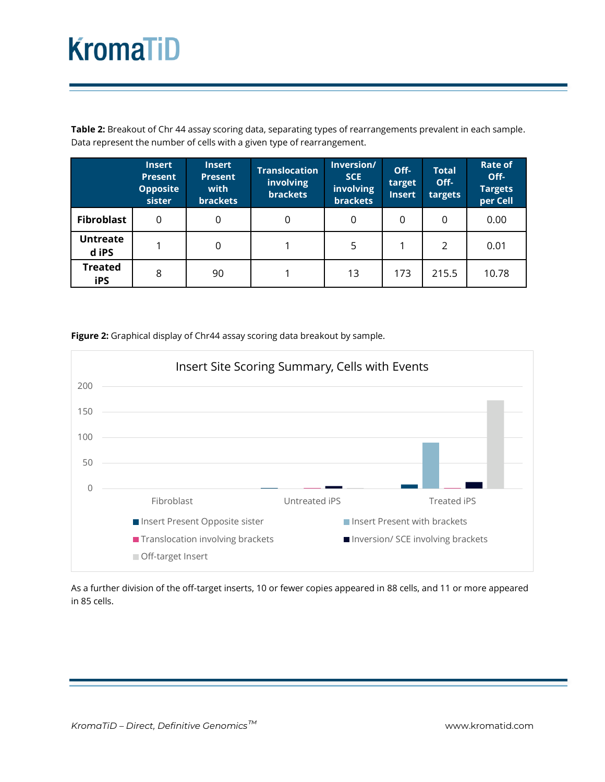**Table 2:** Breakout of Chr 44 assay scoring data, separating types of rearrangements prevalent in each sample. Data represent the number of cells with a given type of rearrangement.

|                              | <b>Insert</b><br><b>Present</b><br><b>Opposite</b><br>sister | <b>Insert</b><br><b>Present</b><br>with<br><b>brackets</b> | <b>Translocation</b><br>involving<br><b>brackets</b> | Inversion/<br><b>SCE</b><br>involving<br><b>brackets</b> | Off-<br>target<br><b>Insert</b> | <b>Total</b><br>Off-<br>targets | <b>Rate of</b><br>Off-<br><b>Targets</b><br>per Cell |
|------------------------------|--------------------------------------------------------------|------------------------------------------------------------|------------------------------------------------------|----------------------------------------------------------|---------------------------------|---------------------------------|------------------------------------------------------|
| <b>Fibroblast</b>            | 0                                                            | 0                                                          | 0                                                    | 0                                                        | 0                               | 0                               | 0.00                                                 |
| <b>Untreate</b><br>d iPS     |                                                              | 0                                                          |                                                      | 5                                                        |                                 | 2                               | 0.01                                                 |
| <b>Treated</b><br><b>iPS</b> | 8                                                            | 90                                                         |                                                      | 13                                                       | 173                             | 215.5                           | 10.78                                                |

**Figure 2:** Graphical display of Chr44 assay scoring data breakout by sample.



As a further division of the off-target inserts, 10 or fewer copies appeared in 88 cells, and 11 or more appeared in 85 cells.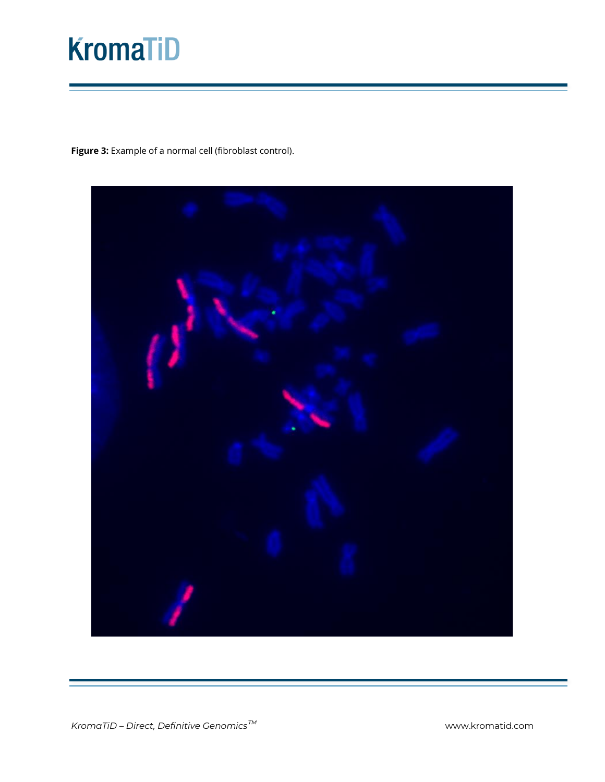**Figure 3:** Example of a normal cell (fibroblast control).

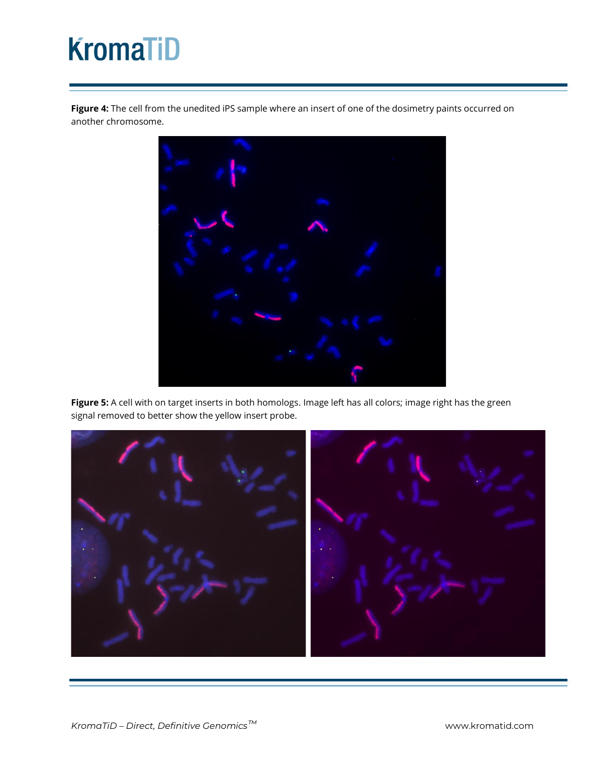**Figure 4:** The cell from the unedited iPS sample where an insert of one of the dosimetry paints occurred on another chromosome.



**Figure 5:** A cell with on target inserts in both homologs. Image left has all colors; image right has the green signal removed to better show the yellow insert probe.

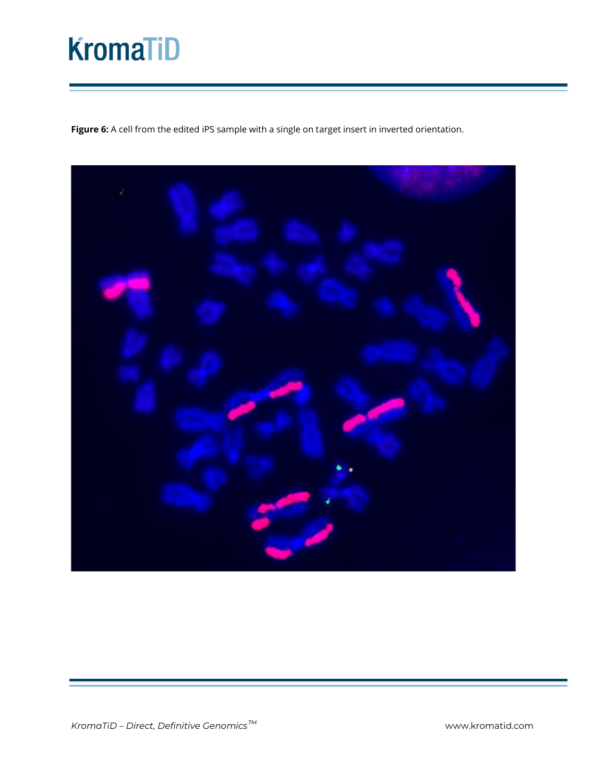**Figure 6:** A cell from the edited iPS sample with a single on target insert in inverted orientation.

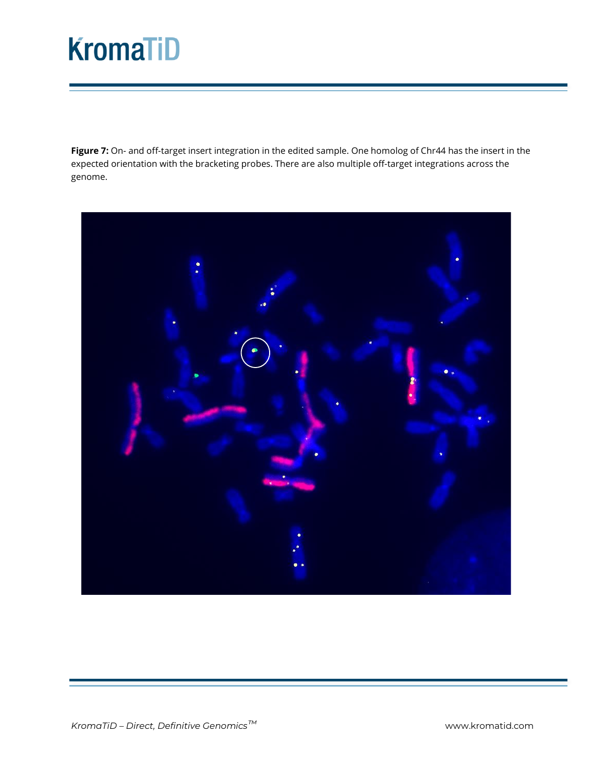**Figure 7:** On- and off-target insert integration in the edited sample. One homolog of Chr44 has the insert in the expected orientation with the bracketing probes. There are also multiple off-target integrations across the genome.